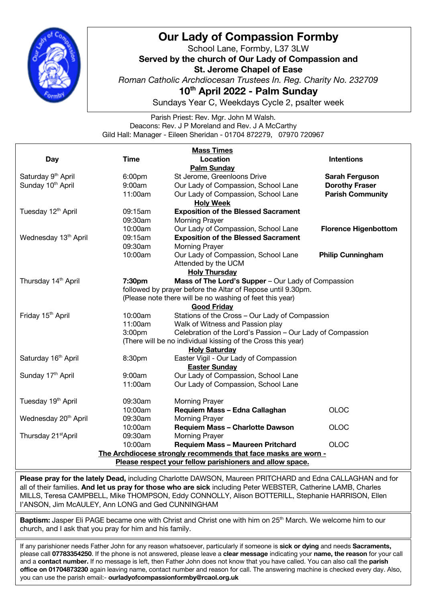

## **Our Lady of Compassion Formby**

School Lane, Formby, L37 3LW **Served by the church of Our Lady of Compassion and St. Jerome Chapel of Ease** *Roman Catholic Archdiocesan Trustees In. Reg. Charity No. 232709* **10th April 2022 - Palm Sunday**

Sundays Year C, Weekdays Cycle 2, psalter week

Parish Priest: Rev. Mgr. John M Walsh. Deacons: Rev. J P Moreland and Rev. J A McCarthy Gild Hall: Manager - Eileen Sheridan - 01704 872279, 07970 720967

| <b>Mass Times</b>                                              |                                                             |                                                            |                             |
|----------------------------------------------------------------|-------------------------------------------------------------|------------------------------------------------------------|-----------------------------|
| Day                                                            | <b>Time</b>                                                 | Location                                                   | <b>Intentions</b>           |
| <b>Palm Sunday</b>                                             |                                                             |                                                            |                             |
| Saturday 9 <sup>th</sup> April                                 | 6:00pm                                                      | St Jerome, Greenloons Drive                                | <b>Sarah Ferguson</b>       |
| Sunday 10 <sup>th</sup> April                                  | 9:00am                                                      | Our Lady of Compassion, School Lane                        | <b>Dorothy Fraser</b>       |
|                                                                | 11:00am                                                     | Our Lady of Compassion, School Lane                        | <b>Parish Community</b>     |
| <b>Holy Week</b>                                               |                                                             |                                                            |                             |
| Tuesday 12 <sup>th</sup> April                                 | 09:15am                                                     | <b>Exposition of the Blessed Sacrament</b>                 |                             |
|                                                                | 09:30am                                                     | <b>Morning Prayer</b>                                      |                             |
|                                                                | 10:00am                                                     | Our Lady of Compassion, School Lane                        | <b>Florence Higenbottom</b> |
| Wednesday 13 <sup>th</sup> April                               | 09:15am                                                     | <b>Exposition of the Blessed Sacrament</b>                 |                             |
|                                                                | 09:30am                                                     | <b>Morning Prayer</b>                                      |                             |
|                                                                | 10:00am                                                     | Our Lady of Compassion, School Lane                        | <b>Philip Cunningham</b>    |
|                                                                |                                                             | Attended by the UCM                                        |                             |
| <b>Holy Thursday</b>                                           |                                                             |                                                            |                             |
| Thursday 14 <sup>th</sup> April                                | 7:30pm                                                      | Mass of The Lord's Supper - Our Lady of Compassion         |                             |
|                                                                | followed by prayer before the Altar of Repose until 9.30pm. |                                                            |                             |
| (Please note there will be no washing of feet this year)       |                                                             |                                                            |                             |
| <b>Good Friday</b>                                             |                                                             |                                                            |                             |
| Friday 15 <sup>th</sup> April                                  | 10:00am                                                     | Stations of the Cross - Our Lady of Compassion             |                             |
|                                                                | 11:00am                                                     | Walk of Witness and Passion play                           |                             |
|                                                                | 3:00pm                                                      | Celebration of the Lord's Passion - Our Lady of Compassion |                             |
| (There will be no individual kissing of the Cross this year)   |                                                             |                                                            |                             |
| <b>Holy Saturday</b>                                           |                                                             |                                                            |                             |
| Saturday 16 <sup>th</sup> April                                | 8:30pm                                                      | Easter Vigil - Our Lady of Compassion                      |                             |
|                                                                |                                                             | <b>Easter Sunday</b>                                       |                             |
| Sunday 17th April                                              | 9:00am                                                      | Our Lady of Compassion, School Lane                        |                             |
|                                                                | 11:00am                                                     | Our Lady of Compassion, School Lane                        |                             |
| Tuesday 19 <sup>th</sup> April                                 | 09:30am                                                     | <b>Morning Prayer</b>                                      |                             |
|                                                                | 10:00am                                                     | Requiem Mass - Edna Callaghan                              | <b>OLOC</b>                 |
| Wednesday 20 <sup>th</sup> April                               | 09:30am                                                     | <b>Morning Prayer</b>                                      |                             |
|                                                                | 10:00am                                                     | <b>Requiem Mass - Charlotte Dawson</b>                     | <b>OLOC</b>                 |
| Thursday 21 <sup>st</sup> April                                | 09:30am                                                     | Morning Prayer                                             |                             |
|                                                                | 10:00am                                                     | <b>Requiem Mass - Maureen Pritchard</b>                    | <b>OLOC</b>                 |
| The Archdiocese strongly recommends that face masks are worn - |                                                             |                                                            |                             |
| Please respect your fellow parishioners and allow space.       |                                                             |                                                            |                             |

**Please pray for the lately Dead,** including Charlotte DAWSON, Maureen PRITCHARD and Edna CALLAGHAN and for all of their families. **And let us pray for those who are sick** including Peter WEBSTER, Catherine LAMB, Charles MILLS, Teresa CAMPBELL, Mike THOMPSON, Eddy CONNOLLY, Alison BOTTERILL, Stephanie HARRISON, Ellen I'ANSON, Jim McAULEY, Ann LONG and Ged CUNNINGHAM

Baptism: Jasper Eli PAGE became one with Christ and Christ one with him on 25<sup>th</sup> March. We welcome him to our church, and I ask that you pray for him and his family.

If any parishioner needs Father John for any reason whatsoever, particularly if someone is **sick or dying** and needs **Sacraments,** please call **07783354250**. If the phone is not answered, please leave a **clear message** indicating your **name, the reason** for your call and a **contact number.** If no message is left, then Father John does not know that you have called. You can also call the **parish office on 01704873230** again leaving name, contact number and reason for call. The answering machine is checked every day. Also, you can use the parish email:- **ourladyofcompassionformby@rcaol.org.uk**